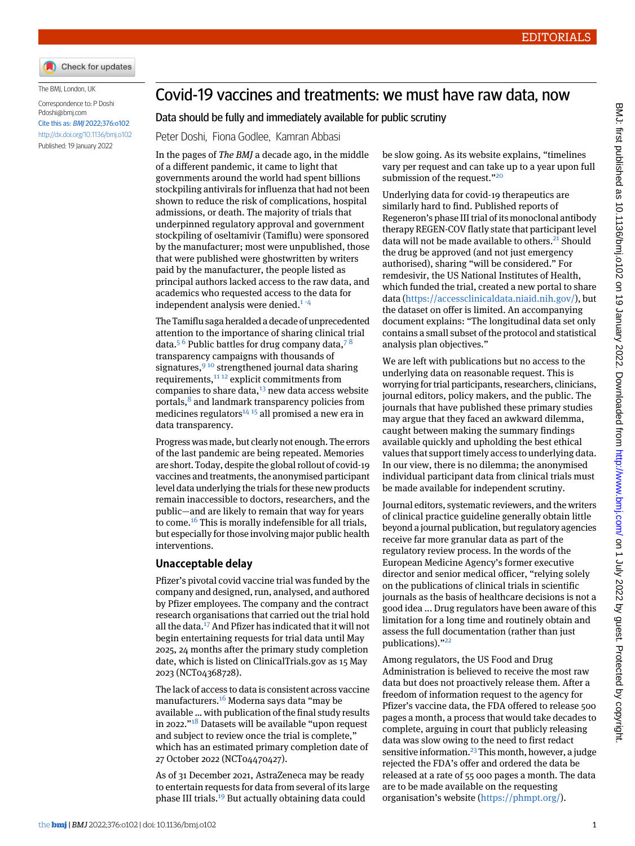

The BMJ, London, UK

```
Correspondence to: P Doshi
Pdoshi@bmj.com
Cite this as: BMJ 2022;376:o102
http://dx.doi.org/10.1136/bmj.o102
Published: 19 January 2022
```
# Covid-19 vaccines and treatments: we must have raw data, now

#### Data should be fully and immediately available for public scrutiny

Peter Doshi, Fiona Godlee, Kamran Abbasi

In the pages of *The BMJ* a decade ago, in the middle of a different pandemic, it came to light that governments around the world had spent billions stockpiling antivirals for influenza that had not been shown to reduce the risk of complications, hospital admissions, or death. The majority of trials that underpinned regulatory approval and government stockpiling of oseltamivir (Tamiflu) were sponsored by the manufacturer; most were unpublished, those that were published were ghostwritten by writers paid by the manufacturer, the people listed as principal authors lacked access to the raw data, and academics who requested access to the data for independent analysis were denied.<sup>[1](#page-1-0)-[4](#page-1-2)</sup>

The Tamiflu saga heralded a decade of unprecedented attention to the importance of sharing clinical trial data.<sup>[5](#page-1-3) [6](#page-1-4)</sup> Public battles for drug company data,<sup>[7](#page-1-5)8</sup> transparency campaigns with thousands of signatures,  $9^{10}$  $9^{10}$  strengthened journal data sharing requirements, $1112$  $1112$  explicit commitments from companies to share data, $13$  new data access website portals,<sup>[8](#page-1-6)</sup> and landmark transparency policies from medicines regulators<sup>[14](#page-1-12) [15](#page-1-13)</sup> all promised a new era in data transparency.

Progress was made, but clearly not enough. The errors of the last pandemic are being repeated. Memories are short. Today, despite the global rollout of covid-19 vaccines and treatments, the anonymised participant level data underlying the trials for these new products remain inaccessible to doctors, researchers, and the public—and are likely to remain that way for years to come.[16](#page-1-14) This is morally indefensible for all trials, but especially for those involving major public health interventions.

#### **Unacceptable delay**

Pfizer's pivotal covid vaccine trial was funded by the company and designed, run, analysed, and authored by Pfizer employees. The company and the contract research organisations that carried out the trial hold all the data.[17](#page-1-15) And Pfizer has indicated that it will not begin entertaining requests for trial data until May 2025, 24 months after the primary study completion date, which is listed on ClinicalTrials.gov as 15 May 2023 (NCT04368728).

The lack of access to data is consistent across vaccine manufacturers.[16](#page-1-14) Moderna says data "may be available … with publication of the final study results in 2022."<sup>[18](#page-1-16)</sup> Datasets will be available "upon request and subject to review once the trial is complete," which has an estimated primary completion date of 27 October 2022 (NCT04470427).

As of 31 December 2021, AstraZeneca may be ready to entertain requests for data from several of its large phase III trials.[19](#page-1-17) But actually obtaining data could

be slow going. As its website explains, "timelines vary per request and can take up to a year upon full submission of the request."<sup>[20](#page-1-18)</sup>

Underlying data for covid-19 therapeutics are similarly hard to find. Published reports of Regeneron's phase III trial of its monoclonal antibody therapy REGEN-COV flatly state that participant level data will not be made available to others.<sup>[21](#page-1-19)</sup> Should the drug be approved (and not just emergency authorised), sharing "will be considered." For remdesivir, the US National Institutes of Health, which funded the trial, created a new portal to share data [\(https://accessclinicaldata.niaid.nih.gov/](https://accessclinicaldata.niaid.nih.gov/)), but the dataset on offer is limited. An accompanying document explains: "The longitudinal data set only contains a small subset of the protocol and statistical analysis plan objectives."

We are left with publications but no access to the underlying data on reasonable request. This is worrying for trial participants, researchers, clinicians, journal editors, policy makers, and the public. The journals that have published these primary studies may argue that they faced an awkward dilemma, caught between making the summary findings available quickly and upholding the best ethical values that support timely access to underlying data. In our view, there is no dilemma; the anonymised individual participant data from clinical trials must be made available for independent scrutiny.

Journal editors, systematic reviewers, and the writers of clinical practice guideline generally obtain little beyond a journal publication, but regulatory agencies receive far more granular data as part of the regulatory review process. In the words of the European Medicine Agency's former executive director and senior medical officer, "relying solely on the publications of clinical trials in scientific journals as the basis of healthcare decisions is not a good idea ... Drug regulators have been aware of this limitation for a long time and routinely obtain and assess the full documentation (rather than just publications)." [22](#page-1-20)

Among regulators, the US Food and Drug Administration is believed to receive the most raw data but does not proactively release them. After a freedom of information request to the agency for Pfizer's vaccine data, the FDA offered to release 500 pages a month, a process that would take decades to complete, arguing in court that publicly releasing data was slow owing to the need to first redact sensitive information.<sup>[23](#page-1-21)</sup> This month, however, a judge rejected the FDA's offer and ordered the data be released at a rate of 55 000 pages a month. The data are to be made available on the requesting organisation's website ([https://phmpt.org/\)](https://phmpt.org/).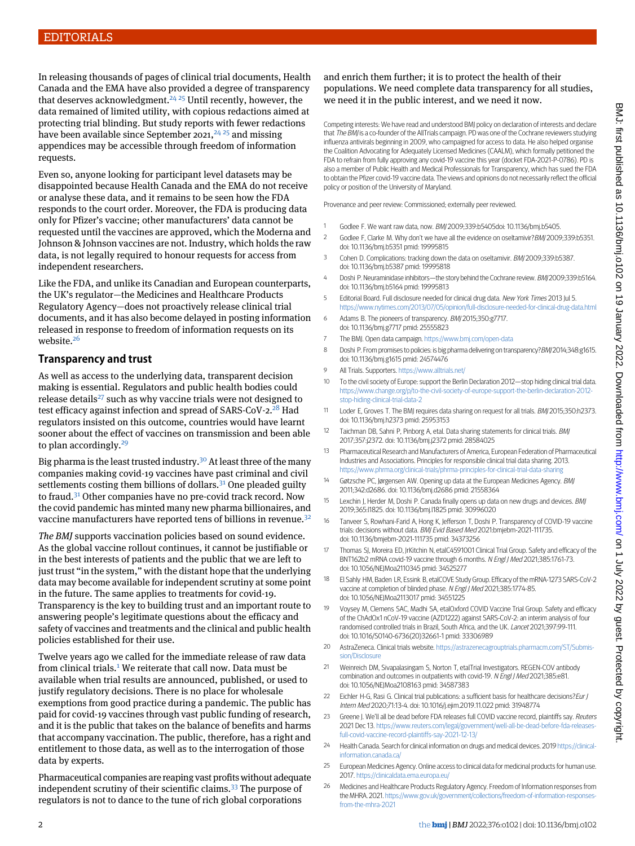In releasing thousands of pages of clinical trial documents, Health Canada and the EMA have also provided a degree of transparency that deserves acknowledgment.<sup>[24](#page-1-22), [25](#page-1-23)</sup> Until recently, however, the data remained of limited utility, with copious redactions aimed at protecting trial blinding. But study reports with fewer redactions have been available since September 2021,  $^{24,25}$  $^{24,25}$  $^{24,25}$  and missing appendices may be accessible through freedom of information requests.

Even so, anyone looking for participant level datasets may be disappointed because Health Canada and the EMA do not receive or analyse these data, and it remains to be seen how the FDA responds to the court order. Moreover, the FDA is producing data only for Pfizer's vaccine; other manufacturers' data cannot be requested until the vaccines are approved, which the Moderna and Johnson & Johnson vaccines are not. Industry, which holds the raw data, is not legally required to honour requests for access from independent researchers.

Like the FDA, and unlike its Canadian and European counterparts, the UK's regulator—the Medicines and Healthcare Products Regulatory Agency—does not proactively release clinical trial documents, and it has also become delayed in posting information released in response to freedom of information requests on its website.<sup>[26](#page-1-24)</sup>

## **Transparency and trust**

As well as access to the underlying data, transparent decision making is essential. Regulators and public health bodies could release details<sup>[27](#page-2-0)</sup> such as why vaccine trials were not designed to test efficacy against infection and spread of SARS-CoV-2.<sup>[28](#page-2-1)</sup> Had regulators insisted on this outcome, countries would have learnt sooner about the effect of vaccines on transmission and been able to plan accordingly. $^{29}$  $^{29}$  $^{29}$ 

Big pharma is the least trusted industry.<sup>[30](#page-2-3)</sup> At least three of the many companies making covid-19 vaccines have past criminal and civil settlements costing them billions of dollars.<sup>[31](#page-2-4)</sup> One pleaded guilty to fraud.[31](#page-2-4) Other companies have no pre-covid track record. Now the covid pandemic has minted many new pharma billionaires, and vaccine manufacturers have reported tens of billions in revenue.<sup>[32](#page-2-5)</sup>

*The BMJ* supports vaccination policies based on sound evidence. As the global vaccine rollout continues, it cannot be justifiable or in the best interests of patients and the public that we are left to just trust "in the system," with the distant hope that the underlying data may become available for independent scrutiny at some point in the future. The same applies to treatments for covid-19. Transparency is the key to building trust and an important route to answering people's legitimate questions about the efficacy and safety of vaccines and treatments and the clinical and public health policies established for their use.

Twelve years ago we called for the immediate release of raw data from clinical trials.<sup>[1](#page-1-0)</sup> We reiterate that call now. Data must be available when trial results are announced, published, or used to justify regulatory decisions. There is no place for wholesale exemptions from good practice during a pandemic. The public has paid for covid-19 vaccines through vast public funding of research, and it is the public that takes on the balance of benefits and harms that accompany vaccination. The public, therefore, has a right and entitlement to those data, as well as to the interrogation of those data by experts.

Pharmaceutical companies are reaping vast profits without adequate independent scrutiny of their scientific claims.[33](#page-2-6) The purpose of regulators is not to dance to the tune of rich global corporations

### and enrich them further; it is to protect the health of their populations. We need complete data transparency for all studies, we need it in the public interest, and we need it now.

Competing interests: We have read and understood BMJ policy on declaration of interests and declare that The BMJ is a co-founder of the AllTrials campaign. PD was one of the Cochrane reviewers studying influenza antivirals beginning in 2009, who campaigned for access to data. He also helped organise the Coalition Advocating for Adequately Licensed Medicines (CAALM), which formally petitioned the FDA to refrain from fully approving any covid-19 vaccine this year (docket FDA-2021-P-0786). PD is also a member of Public Health and Medical Professionals for Transparency, which has sued the FDA to obtain the Pfizer covid-19 vaccine data. The views and opinions do not necessarily reflect the official policy or position of the University of Maryland.

<span id="page-1-1"></span><span id="page-1-0"></span>Provenance and peer review: Commissioned; externally peer reviewed.

- 1 Godlee F. We want raw data, now. BMJ 2009;339:b5405doi: 10.1136/bmj.b5405.
- <span id="page-1-2"></span>2 Godlee F, Clarke M. Why don't we have all the evidence on oseltamivir?BMJ 2009;339:b5351. doi: 10.1136/bmj.b5351 pmid: 19995815
- <span id="page-1-3"></span>3 Cohen D. Complications: tracking down the data on oseltamivir. BMJ 2009;339:b5387. doi: 10.1136/bmj.b5387 pmid: 19995818
- <span id="page-1-4"></span>4 Doshi P. Neuraminidase inhibitors—the story behind the Cochrane review. BMJ 2009;339:b5164. doi: 10.1136/bmj.b5164 pmid: 19995813
- <span id="page-1-5"></span>5 Editorial Board. Full disclosure needed for clinical drug data. New York Times 2013 Jul 5. <https://www.nytimes.com/2013/07/05/opinion/full-disclosure-needed-for-clinical-drug-data.html>
- <span id="page-1-7"></span><span id="page-1-6"></span>6 Adams B. The pioneers of transparency. BMJ 2015;350:g7717. doi: 10.1136/bmj.g7717 pmid: 25555823
- <span id="page-1-8"></span>7 The BMJ. Open data campaign. <https://www.bmj.com/open-data>
- 8 Doshi P. From promises to policies: is big pharma delivering on transparency? BMJ 2014;348:g1615. doi: 10.1136/bmj.g1615 pmid: 24574476
- <span id="page-1-9"></span>9 All Trials. Supporters. <https://www.alltrials.net/>
- <span id="page-1-10"></span>10 To the civil society of Europe: support the Berlin Declaration 2012—stop hiding clinical trial data. [https://www.change.org/p/to-the-civil-society-of-europe-support-the-berlin-declaration-2012](https://www.change.org/p/to-the-civil-society-of-europe-support-the-berlin-declaration-2012-stop-hiding-clinical-trial-data-2) [stop-hiding-clinical-trial-data-2](https://www.change.org/p/to-the-civil-society-of-europe-support-the-berlin-declaration-2012-stop-hiding-clinical-trial-data-2)
- <span id="page-1-11"></span>11 Loder E, Groves T. The BMJ requires data sharing on request for all trials. BMJ 2015;350:h2373. doi: 10.1136/bmj.h2373 pmid: 25953153
- <span id="page-1-12"></span>12 Taichman DB, Sahni P, Pinborg A, etal. Data sharing statements for clinical trials. BMJ 2017;357:j2372. doi: 10.1136/bmj.j2372 pmid: 28584025
- <span id="page-1-14"></span><span id="page-1-13"></span>13 Pharmaceutical Research and Manufacturers of America, European Federation of Pharmaceutical Industries and Associations. Principles for responsible clinical trial data sharing. 2013. <https://www.phrma.org/clinical-trials/phrma-principles-for-clinical-trial-data-sharing>
- <span id="page-1-15"></span>14 Gøtzsche PC, Jørgensen AW. Opening up data at the European Medicines Agency. BMJ 2011;342:d2686. doi: 10.1136/bmj.d2686 pmid: 21558364
- 15 Lexchin J, Herder M, Doshi P. Canada finally opens up data on new drugs and devices. BMJ 2019;365:l1825. doi: 10.1136/bmj.l1825 pmid: 30996020
- <span id="page-1-16"></span>16 Tanveer S, Rowhani-Farid A, Hong K, Jefferson T, Doshi P. Transparency of COVID-19 vaccine trials: decisions without data. BMJ Evid Based Med 2021:bmjebm-2021-111735. doi: 10.1136/bmjebm-2021-111735 pmid: 34373256
- <span id="page-1-17"></span>17 Thomas SJ, Moreira ED, JrKitchin N, etalC4591001 Clinical Trial Group. Safety and efficacy of the BNT162b2 mRNA covid-19 vaccine through 6 months. <sup>N</sup> Engl J Med 2021;385:1761-73. doi: 10.1056/NEJMoa2110345 pmid: 34525277
- <span id="page-1-18"></span>18 El Sahly HM, Baden LR, Essink B, etalCOVE Study Group. Efficacy of the mRNA-1273 SARS-CoV-2 vaccine at completion of blinded phase. N Engl J Med 2021;385:1774-85. doi: 10.1056/NEJMoa2113017 pmid: 34551225
- <span id="page-1-20"></span><span id="page-1-19"></span>19 Voysey M, Clemens SAC, Madhi SA, etalOxford COVID Vaccine Trial Group. Safety and efficacy of the ChAdOx1 nCoV-19 vaccine (AZD1222) against SARS-CoV-2: an interim analysis of four randomised controlled trials in Brazil, South Africa, and the UK. Lancet 2021;397:99-111. doi: 10.1016/S0140-6736(20)32661-1 pmid: 33306989
- <span id="page-1-21"></span>20 AstraZeneca. Clinical trials website. [https://astrazenecagrouptrials.pharmacm.com/ST/Submis](https://astrazenecagrouptrials.pharmacm.com/ST/Submission/Disclosure)[sion/Disclosure](https://astrazenecagrouptrials.pharmacm.com/ST/Submission/Disclosure)
- <span id="page-1-22"></span>21 Weinreich DM, Sivapalasingam S, Norton T, etalTrial Investigators. REGEN-COV antibody combination and outcomes in outpatients with covid-19. N Engl J Med 2021;385:e81. doi: 10.1056/NEJMoa2108163 pmid: 34587383
- <span id="page-1-24"></span><span id="page-1-23"></span>22 Eichler H-G, Rasi G. Clinical trial publications: a sufficient basis for healthcare decisions? Eur J Intern Med 2020;71:13-4. doi: 10.1016/j.ejim.2019.11.022 pmid: 31948774
- 23 Greene J. We'll all be dead before FDA releases full COVID vaccine record, plaintiffs say. Reuters 2021 Dec 13. [https://www.reuters.com/legal/government/well-all-be-dead-before-fda-releases](https://www.reuters.com/legal/government/well-all-be-dead-before-fda-releases-full-covid-vaccine-record-plaintiffs-say-2021-12-13/)[full-covid-vaccine-record-plaintiffs-say-2021-12-13/](https://www.reuters.com/legal/government/well-all-be-dead-before-fda-releases-full-covid-vaccine-record-plaintiffs-say-2021-12-13/)
- 24 Health Canada. Search for clinical information on drugs and medical devices. 2019 [https://clinical](https://clinical-information.canada.ca/)[information.canada.ca/](https://clinical-information.canada.ca/)
- 25 European Medicines Agency. Online access to clinical data for medicinal products for human use. 2017. <https://clinicaldata.ema.europa.eu/>
- 26 Medicines and Healthcare Products Regulatory Agency. Freedom of Information responses from the MHRA. 2021. [https://www.gov.uk/government/collections/freedom-of-information-responses](https://www.gov.uk/government/collections/freedom-of-information-responses-from-the-mhra-2021)[from-the-mhra-2021](https://www.gov.uk/government/collections/freedom-of-information-responses-from-the-mhra-2021)